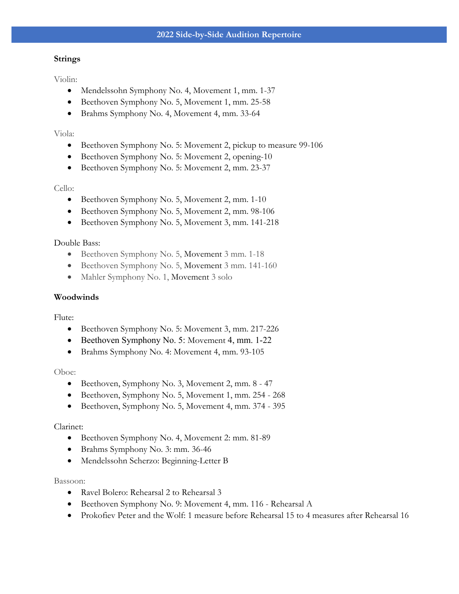#### **Strings**

Violin:

- Mendelssohn Symphony No. 4, Movement 1, mm. 1-37
- Beethoven Symphony No. 5, Movement 1, mm. 25-58
- Brahms Symphony No. 4, Movement 4, mm. 33-64

### Viola:

- Beethoven Symphony No. 5: Movement 2, pickup to measure 99-106
- Beethoven Symphony No. 5: Movement 2, opening-10
- Beethoven Symphony No. 5: Movement 2, mm. 23-37

### Cello:

- Beethoven Symphony No. 5, Movement 2, mm. 1-10
- Beethoven Symphony No. 5, Movement 2, mm. 98-106
- Beethoven Symphony No. 5, Movement 3, mm. 141-218

# Double Bass:

- Beethoven Symphony No. 5, Movement 3 mm. 1-18
- Beethoven Symphony No. 5, Movement 3 mm. 141-160
- Mahler Symphony No. 1, Movement 3 solo

### **Woodwinds**

Flute:

- Beethoven Symphony No. 5: Movement 3, mm. 217-226
- Beethoven Symphony No. 5: Movement 4, mm. 1-22
- Brahms Symphony No. 4: Movement 4, mm. 93-105

#### Oboe:

- Beethoven, Symphony No. 3, Movement 2, mm. 8 47
- Beethoven, Symphony No. 5, Movement 1, mm. 254 268
- Beethoven, Symphony No. 5, Movement 4, mm. 374 395

#### Clarinet:

- Beethoven Symphony No. 4, Movement 2: mm. 81-89
- Brahms Symphony No. 3: mm. 36-46
- Mendelssohn Scherzo: Beginning-Letter B

#### Bassoon:

- Ravel Bolero: Rehearsal 2 to Rehearsal 3
- Beethoven Symphony No. 9: Movement 4, mm. 116 Rehearsal A
- Prokofiev Peter and the Wolf: 1 measure before Rehearsal 15 to 4 measures after Rehearsal 16